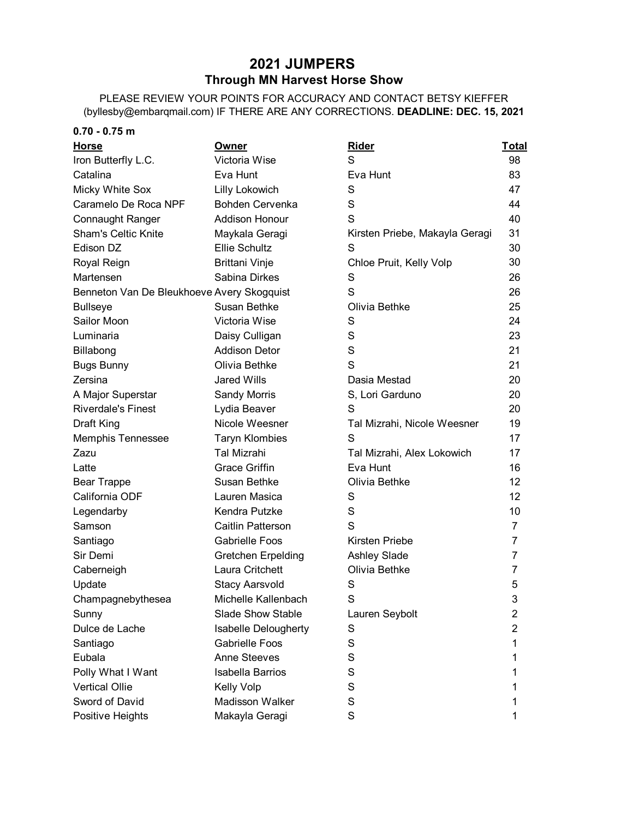## **2021 JUMPERS Through MN Harvest Horse Show**

PLEASE REVIEW YOUR POINTS FOR ACCURACY AND CONTACT BETSY KIEFFER (byllesby@embarqmail.com) IF THERE ARE ANY CORRECTIONS. **DEADLINE: DEC. 15, 2021**

| $0.70 - 0.75$ m                            |                             |                                |              |
|--------------------------------------------|-----------------------------|--------------------------------|--------------|
| <u>Horse</u>                               | <b>Owner</b>                | <b>Rider</b>                   | <u>Total</u> |
| Iron Butterfly L.C.                        | Victoria Wise               | S                              | 98           |
| Catalina                                   | Eva Hunt                    | Eva Hunt                       | 83           |
| <b>Micky White Sox</b>                     | Lilly Lokowich              | S                              | 47           |
| Caramelo De Roca NPF                       | <b>Bohden Cervenka</b>      | S                              | 44           |
| <b>Connaught Ranger</b>                    | <b>Addison Honour</b>       | S                              | 40           |
| <b>Sham's Celtic Knite</b>                 | Maykala Geragi              | Kirsten Priebe, Makayla Geragi | 31           |
| Edison DZ                                  | Ellie Schultz               | S                              | 30           |
| Royal Reign                                | <b>Brittani Vinje</b>       | Chloe Pruit, Kelly Volp        | 30           |
| Martensen                                  | Sabina Dirkes               | S                              | 26           |
| Benneton Van De Bleukhoeve Avery Skogquist |                             | S                              | 26           |
| <b>Bullseye</b>                            | Susan Bethke                | Olivia Bethke                  | 25           |
| Sailor Moon                                | Victoria Wise               | S                              | 24           |
| Luminaria                                  | Daisy Culligan              | S                              | 23           |
| Billabong                                  | <b>Addison Detor</b>        | S                              | 21           |
| <b>Bugs Bunny</b>                          | Olivia Bethke               | S                              | 21           |
| Zersina                                    | <b>Jared Wills</b>          | Dasia Mestad                   | 20           |
| A Major Superstar                          | Sandy Morris                | S, Lori Garduno                | 20           |
| <b>Riverdale's Finest</b>                  | Lydia Beaver                | S                              | 20           |
| Draft King                                 | Nicole Weesner              | Tal Mizrahi, Nicole Weesner    | 19           |
| <b>Memphis Tennessee</b>                   | <b>Taryn Klombies</b>       | S                              | 17           |
| Zazu                                       | <b>Tal Mizrahi</b>          | Tal Mizrahi, Alex Lokowich     | 17           |
| Latte                                      | <b>Grace Griffin</b>        | Eva Hunt                       | 16           |
| <b>Bear Trappe</b>                         | Susan Bethke                | Olivia Bethke                  | 12           |
| California ODF                             | Lauren Masica               | S                              | 12           |
| Legendarby                                 | Kendra Putzke               | S                              | 10           |
| Samson                                     | Caitlin Patterson           | S                              | 7            |
| Santiago                                   | <b>Gabrielle Foos</b>       | Kirsten Priebe                 | 7            |
| Sir Demi                                   | <b>Gretchen Erpelding</b>   | Ashley Slade                   | 7            |
| Caberneigh                                 | Laura Critchett             | Olivia Bethke                  | 7            |
| Update                                     | Stacy Aarsvold              | S                              | 5            |
| Champagnebythesea                          | Michelle Kallenbach         | S                              | 3            |
| Sunny                                      | <b>Slade Show Stable</b>    | Lauren Seybolt                 | 2            |
| Dulce de Lache                             | <b>Isabelle Delougherty</b> | S                              | 2            |
| Santiago                                   | <b>Gabrielle Foos</b>       | S                              | 1            |
| Eubala                                     | <b>Anne Steeves</b>         | S                              | 1            |
| Polly What I Want                          | <b>Isabella Barrios</b>     | S                              | 1            |
| <b>Vertical Ollie</b>                      | Kelly Volp                  | S                              | 1            |
| Sword of David                             | Madisson Walker             | S                              | 1            |
| Positive Heights                           | Makayla Geragi              | S                              |              |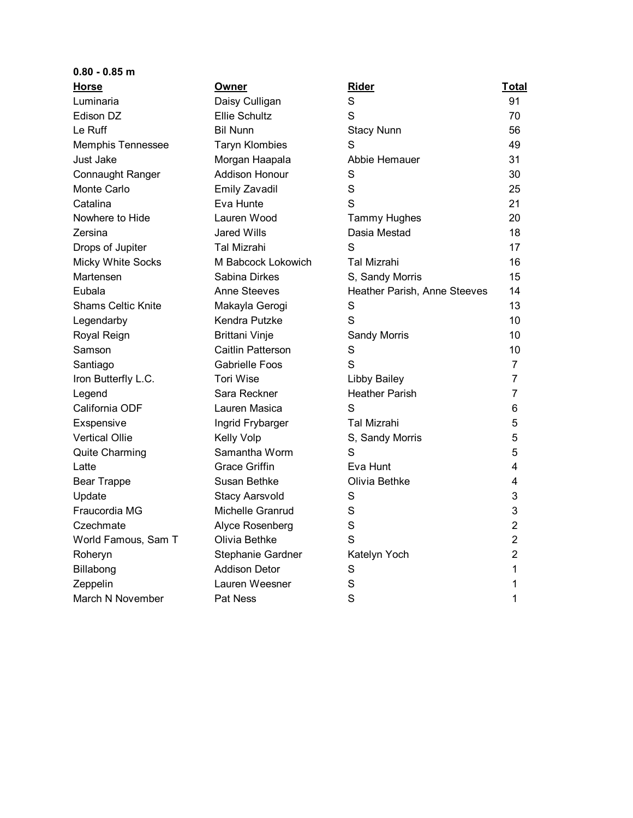| $0.80 - 0.85$ m           |                       |                              |                |
|---------------------------|-----------------------|------------------------------|----------------|
| <b>Horse</b>              | <b>Owner</b>          | <b>Rider</b>                 | <u>Total</u>   |
| Luminaria                 | Daisy Culligan        | S                            | 91             |
| Edison DZ                 | <b>Ellie Schultz</b>  | S                            | 70             |
| Le Ruff                   | <b>Bil Nunn</b>       | <b>Stacy Nunn</b>            | 56             |
| <b>Memphis Tennessee</b>  | <b>Taryn Klombies</b> | S                            | 49             |
| Just Jake                 | Morgan Haapala        | Abbie Hemauer                | 31             |
| <b>Connaught Ranger</b>   | <b>Addison Honour</b> | S                            | 30             |
| Monte Carlo               | Emily Zavadil         | S                            | 25             |
| Catalina                  | Eva Hunte             | S                            | 21             |
| Nowhere to Hide           | Lauren Wood           | Tammy Hughes                 | 20             |
| Zersina                   | <b>Jared Wills</b>    | Dasia Mestad                 | 18             |
| Drops of Jupiter          | Tal Mizrahi           | S                            | 17             |
| Micky White Socks         | M Babcock Lokowich    | Tal Mizrahi                  | 16             |
| Martensen                 | Sabina Dirkes         | S, Sandy Morris              | 15             |
| Eubala                    | Anne Steeves          | Heather Parish, Anne Steeves | 14             |
| <b>Shams Celtic Knite</b> | Makayla Gerogi        | S                            | 13             |
| Legendarby                | Kendra Putzke         | S                            | 10             |
| Royal Reign               | <b>Brittani Vinje</b> | Sandy Morris                 | 10             |
| Samson                    | Caitlin Patterson     | S                            | 10             |
| Santiago                  | <b>Gabrielle Foos</b> | S                            | $\overline{7}$ |
| Iron Butterfly L.C.       | <b>Tori Wise</b>      | <b>Libby Bailey</b>          | 7              |
| Legend                    | Sara Reckner          | <b>Heather Parish</b>        | 7              |
| California ODF            | Lauren Masica         | S                            | 6              |
| Exspensive                | Ingrid Frybarger      | Tal Mizrahi                  | 5              |
| <b>Vertical Ollie</b>     | Kelly Volp            | S, Sandy Morris              | 5              |
| <b>Quite Charming</b>     | Samantha Worm         | S                            | 5              |
| Latte                     | <b>Grace Griffin</b>  | Eva Hunt                     | 4              |
| <b>Bear Trappe</b>        | Susan Bethke          | Olivia Bethke                | 4              |
| Update                    | <b>Stacy Aarsvold</b> | S                            | 3              |
| Fraucordia MG             | Michelle Granrud      | S                            | 3              |
| Czechmate                 | Alyce Rosenberg       | S                            | 2              |
| World Famous, Sam T       | Olivia Bethke         | S                            | 2              |
| Roheryn                   | Stephanie Gardner     | Katelyn Yoch                 | $\overline{2}$ |
| Billabong                 | <b>Addison Detor</b>  | S                            | 1              |
| Zeppelin                  | Lauren Weesner        | S                            |                |
| March N November          | Pat Ness              | S                            | 1              |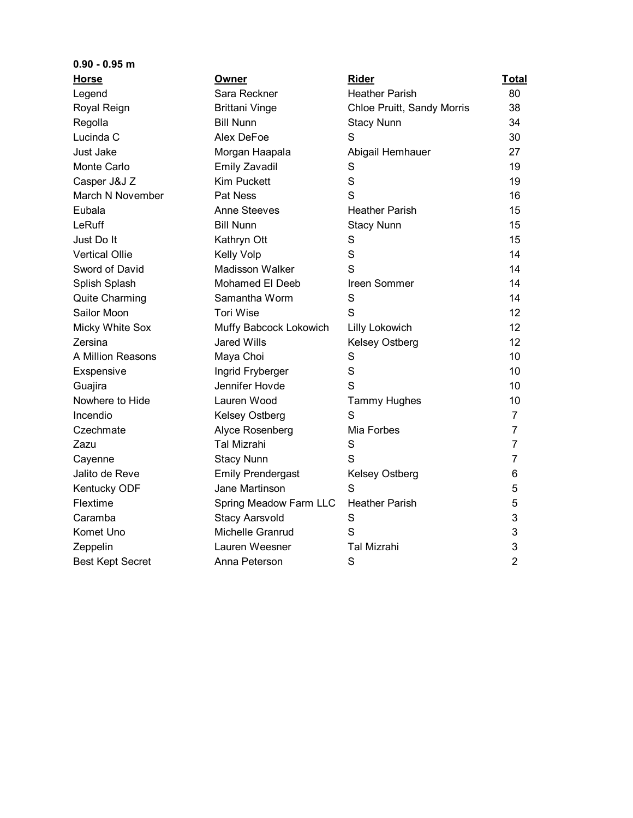| $0.90 - 0.95$ m         |                          |                            |                |
|-------------------------|--------------------------|----------------------------|----------------|
| Horse                   | Owner                    | Rider                      | Total          |
| Legend                  | Sara Reckner             | <b>Heather Parish</b>      | 80             |
| Royal Reign             | <b>Brittani Vinge</b>    | Chloe Pruitt, Sandy Morris | 38             |
| Regolla                 | <b>Bill Nunn</b>         | <b>Stacy Nunn</b>          | 34             |
| Lucinda C               | Alex DeFoe               | S                          | 30             |
| Just Jake               | Morgan Haapala           | Abigail Hemhauer           | 27             |
| Monte Carlo             | <b>Emily Zavadil</b>     | S                          | 19             |
| Casper J&J Z            | <b>Kim Puckett</b>       | S                          | 19             |
| March N November        | <b>Pat Ness</b>          | S                          | 16             |
| Eubala                  | <b>Anne Steeves</b>      | <b>Heather Parish</b>      | 15             |
| LeRuff                  | <b>Bill Nunn</b>         | <b>Stacy Nunn</b>          | 15             |
| Just Do It              | Kathryn Ott              | S                          | 15             |
| <b>Vertical Ollie</b>   | Kelly Volp               | S                          | 14             |
| Sword of David          | Madisson Walker          | S                          | 14             |
| Splish Splash           | Mohamed El Deeb          | Ireen Sommer               | 14             |
| Quite Charming          | Samantha Worm            | S                          | 14             |
| Sailor Moon             | <b>Tori Wise</b>         | S                          | 12             |
| Micky White Sox         | Muffy Babcock Lokowich   | Lilly Lokowich             | 12             |
| Zersina                 | Jared Wills              | Kelsey Ostberg             | 12             |
| A Million Reasons       | Maya Choi                | S                          | 10             |
| Exspensive              | Ingrid Fryberger         | S                          | 10             |
| Guajira                 | Jennifer Hovde           | S                          | 10             |
| Nowhere to Hide         | Lauren Wood              | <b>Tammy Hughes</b>        | 10             |
| Incendio                | Kelsey Ostberg           | S                          | 7              |
| Czechmate               | Alyce Rosenberg          | Mia Forbes                 | $\overline{7}$ |
| Zazu                    | <b>Tal Mizrahi</b>       | S                          | 7              |
| Cayenne                 | <b>Stacy Nunn</b>        | S                          | 7              |
| Jalito de Reve          | <b>Emily Prendergast</b> | <b>Kelsey Ostberg</b>      | 6              |
| Kentucky ODF            | Jane Martinson           | S                          | 5              |
| Flextime                | Spring Meadow Farm LLC   | <b>Heather Parish</b>      | 5              |
| Caramba                 | <b>Stacy Aarsvold</b>    | S                          | 3              |
| Komet Uno               | Michelle Granrud         | S                          | 3              |
| Zeppelin                | Lauren Weesner           | <b>Tal Mizrahi</b>         | 3              |
| <b>Best Kept Secret</b> | Anna Peterson            | S                          | $\overline{2}$ |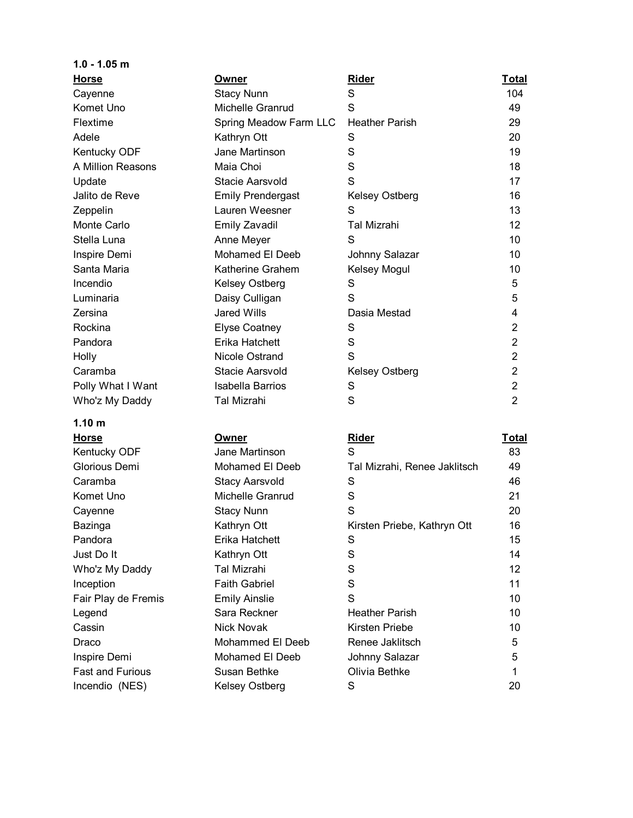| $1.0 - 1.05$ m          |                          |                              |                 |
|-------------------------|--------------------------|------------------------------|-----------------|
| <b>Horse</b>            | Owner                    | Rider                        | <b>Total</b>    |
| Cayenne                 | <b>Stacy Nunn</b>        | S                            | 104             |
| Komet Uno               | Michelle Granrud         | S                            | 49              |
| Flextime                | Spring Meadow Farm LLC   | <b>Heather Parish</b>        | 29              |
| Adele                   | Kathryn Ott              | S                            | 20              |
| Kentucky ODF            | Jane Martinson           | S                            | 19              |
| A Million Reasons       | Maia Choi                | S                            | 18              |
| Update                  | Stacie Aarsvold          | S                            | 17              |
| Jalito de Reve          | <b>Emily Prendergast</b> | <b>Kelsey Ostberg</b>        | 16              |
| Zeppelin                | Lauren Weesner           | S                            | 13              |
| Monte Carlo             | <b>Emily Zavadil</b>     | <b>Tal Mizrahi</b>           | 12 <sup>2</sup> |
| Stella Luna             | Anne Meyer               | S                            | 10              |
| Inspire Demi            | Mohamed El Deeb          | Johnny Salazar               | 10              |
| Santa Maria             | Katherine Grahem         | Kelsey Mogul                 | 10              |
| Incendio                | Kelsey Ostberg           | S                            | 5               |
| Luminaria               | Daisy Culligan           | S                            | 5               |
| Zersina                 | <b>Jared Wills</b>       | Dasia Mestad                 | 4               |
| Rockina                 | <b>Elyse Coatney</b>     | S                            | $\overline{2}$  |
| Pandora                 | Erika Hatchett           | S                            | $\overline{2}$  |
| Holly                   | Nicole Ostrand           | S                            | $\overline{2}$  |
| Caramba                 | Stacie Aarsvold          | <b>Kelsey Ostberg</b>        | $\overline{2}$  |
| Polly What I Want       | <b>Isabella Barrios</b>  | S                            | $\overline{2}$  |
| Who'z My Daddy          | <b>Tal Mizrahi</b>       | S                            | $\overline{2}$  |
| 1.10 <sub>m</sub>       |                          |                              |                 |
| <b>Horse</b>            | Owner                    | <b>Rider</b>                 | <b>Total</b>    |
| Kentucky ODF            | Jane Martinson           | S                            | 83              |
| Glorious Demi           | <b>Mohamed El Deeb</b>   | Tal Mizrahi, Renee Jaklitsch | 49              |
| Caramba                 | <b>Stacy Aarsvold</b>    | S                            | 46              |
| Komet Uno               | Michelle Granrud         | S                            | 21              |
| Cayenne                 | <b>Stacy Nunn</b>        | S                            | 20              |
| Bazinga                 | Kathryn Ott              | Kirsten Priebe, Kathryn Ott  | 16              |
| Pandora                 | Erika Hatchett           | S                            | 15              |
| Just Do It              | Kathryn Ott              | S                            | 14              |
| Who'z My Daddy          | Tal Mizrahi              | $\mathbf S$                  | 12              |
| Inception               | <b>Faith Gabriel</b>     | S                            | 11              |
| Fair Play de Fremis     | <b>Emily Ainslie</b>     | S                            | 10              |
| Legend                  | Sara Reckner             | <b>Heather Parish</b>        | 10              |
| Cassin                  | Nick Novak               | Kirsten Priebe               | 10              |
| Draco                   | Mohammed El Deeb         | Renee Jaklitsch              | 5               |
| Inspire Demi            | Mohamed El Deeb          | Johnny Salazar               | 5               |
| <b>Fast and Furious</b> | Susan Bethke             | Olivia Bethke                | 1               |

Incendio (NES) 6 Kelsey Ostberg S 3 20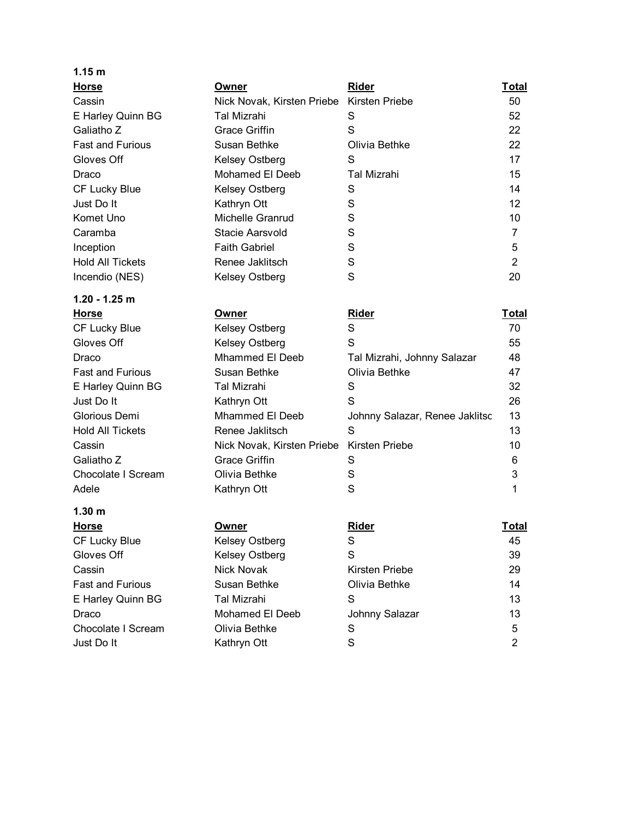| 1.15 m                  |                            |                                |                   |
|-------------------------|----------------------------|--------------------------------|-------------------|
| <b>Horse</b>            | Owner                      | <b>Rider</b>                   | <u>Total</u>      |
| Cassin                  | Nick Novak, Kirsten Priebe | Kirsten Priebe                 | 50                |
| E Harley Quinn BG       | Tal Mizrahi                | S                              | 52                |
| Galiatho Z              | Grace Griffin              | S                              | 22                |
| <b>Fast and Furious</b> | Susan Bethke               | Olivia Bethke                  | 22                |
| Gloves Off              | Kelsey Ostberg             | S                              | 17                |
| Draco                   | Mohamed El Deeb            | <b>Tal Mizrahi</b>             | 15                |
| CF Lucky Blue           | Kelsey Ostberg             | S                              | 14                |
| Just Do It              | Kathryn Ott                | S                              | $12 \overline{ }$ |
| Komet Uno               | Michelle Granrud           | S                              | 10                |
| Caramba                 | Stacie Aarsvold            | S                              | $\overline{7}$    |
| Inception               | <b>Faith Gabriel</b>       | S                              | 5                 |
| <b>Hold All Tickets</b> | Renee Jaklitsch            | S                              | $\overline{2}$    |
| Incendio (NES)          | Kelsey Ostberg             | S                              | 20                |
| $1.20 - 1.25$ m         |                            |                                |                   |
| <b>Horse</b>            | Owner                      | Rider                          | <u>Total</u>      |
| CF Lucky Blue           | Kelsey Ostberg             | S                              | 70                |
| Gloves Off              | Kelsey Ostberg             | S                              | 55                |
| Draco                   | <b>Mhammed El Deeb</b>     | Tal Mizrahi, Johnny Salazar    | 48                |
| <b>Fast and Furious</b> | Susan Bethke               | Olivia Bethke                  | 47                |
| E Harley Quinn BG       | <b>Tal Mizrahi</b>         | S                              | 32                |
| Just Do It              | Kathryn Ott                | S                              | 26                |
| Glorious Demi           | <b>Mhammed El Deeb</b>     | Johnny Salazar, Renee Jaklitsc | 13                |
| <b>Hold All Tickets</b> | Renee Jaklitsch            | S                              | 13                |
| Cassin                  | Nick Novak, Kirsten Priebe | Kirsten Priebe                 | 10                |
| Galiatho Z              | <b>Grace Griffin</b>       | S                              | 6                 |
| Chocolate I Scream      | Olivia Bethke              | S                              | 3                 |
| Adele                   | Kathryn Ott                | S                              | 1                 |
| 1.30 m                  |                            |                                |                   |
| <b>Horse</b>            | <u>Owner</u>               | <b>Rider</b>                   | <u>Total</u>      |
| CF Lucky Blue           | Kelsey Ostberg             | S                              | 45                |
| Gloves Off              | Kelsey Ostberg             | S                              | 39                |
| Cassin                  | <b>Nick Novak</b>          | Kirsten Priebe                 | 29                |
| <b>Fast and Furious</b> | Susan Bethke               | Olivia Bethke                  | 14                |
| E Harley Quinn BG       | <b>Tal Mizrahi</b>         | S                              | 13                |
| Draco                   | Mohamed El Deeb            | Johnny Salazar                 | 13                |
| Chocolate I Scream      | Olivia Bethke              | S                              | 5                 |
| Just Do It              | Kathryn Ott                | S                              | $\overline{c}$    |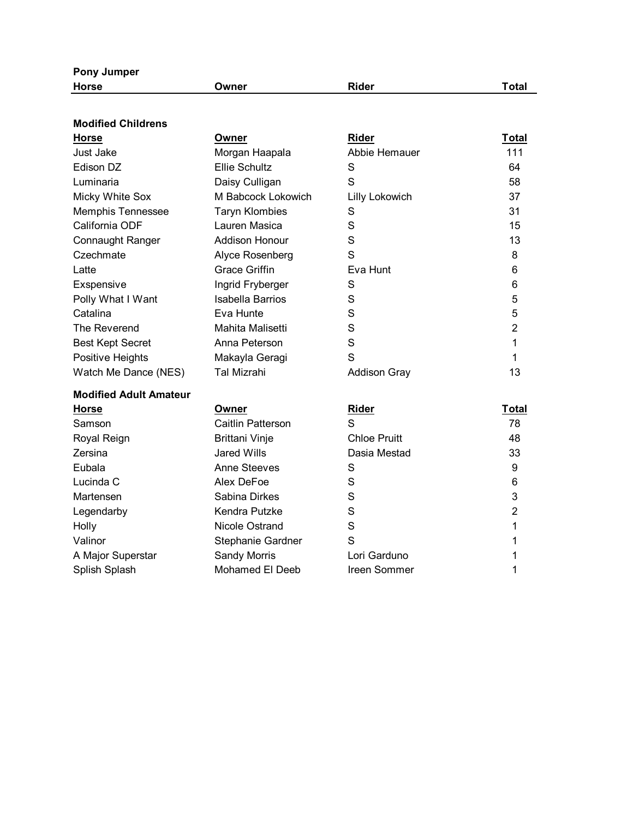| <b>Pony Jumper</b>            |                       |                       |                |
|-------------------------------|-----------------------|-----------------------|----------------|
| <b>Horse</b>                  | Owner                 | Rider                 | Total          |
|                               |                       |                       |                |
| <b>Modified Childrens</b>     |                       |                       |                |
| <b>Horse</b>                  | Owner                 | <b>Rider</b>          | Total          |
| <b>Just Jake</b>              | Morgan Haapala        | Abbie Hemauer         | 111            |
| Edison DZ                     | <b>Ellie Schultz</b>  | S                     | 64             |
| Luminaria                     | Daisy Culligan        | S                     | 58             |
| Micky White Sox               | M Babcock Lokowich    | <b>Lilly Lokowich</b> | 37             |
| <b>Memphis Tennessee</b>      | <b>Taryn Klombies</b> | S                     | 31             |
| California ODF                | Lauren Masica         | S                     | 15             |
| <b>Connaught Ranger</b>       | <b>Addison Honour</b> | S                     | 13             |
| Czechmate                     | Alyce Rosenberg       | S                     | 8              |
| Latte                         | <b>Grace Griffin</b>  | Eva Hunt              | 6              |
| Exspensive                    | Ingrid Fryberger      | S                     | 6              |
| Polly What I Want             | Isabella Barrios      | S                     | 5              |
| Catalina                      | Eva Hunte             | S                     | 5              |
| The Reverend                  | Mahita Malisetti      | S                     | $\overline{2}$ |
| <b>Best Kept Secret</b>       | Anna Peterson         | S                     | 1              |
| Positive Heights              | Makayla Geragi        | S                     | 1              |
| Watch Me Dance (NES)          | Tal Mizrahi           | <b>Addison Gray</b>   | 13             |
| <b>Modified Adult Amateur</b> |                       |                       |                |
| <b>Horse</b>                  | Owner                 | <b>Rider</b>          | Total          |
| Samson                        | Caitlin Patterson     | S                     | 78             |
| Royal Reign                   | <b>Brittani Vinje</b> | <b>Chloe Pruitt</b>   | 48             |
| Zersina                       | Jared Wills           | Dasia Mestad          | 33             |
| Eubala                        | <b>Anne Steeves</b>   | S                     | 9              |
| Lucinda C                     | Alex DeFoe            | S                     | 6              |
| Martensen                     | Sabina Dirkes         | S                     | 3              |
| Legendarby                    | Kendra Putzke         | S                     | $\overline{2}$ |
| Holly                         | Nicole Ostrand        | S                     | 1              |
| Valinor                       | Stephanie Gardner     | S                     | 1              |
| A Major Superstar             | <b>Sandy Morris</b>   | Lori Garduno          | 1              |
| Splish Splash                 | Mohamed El Deeb       | Ireen Sommer          | 1              |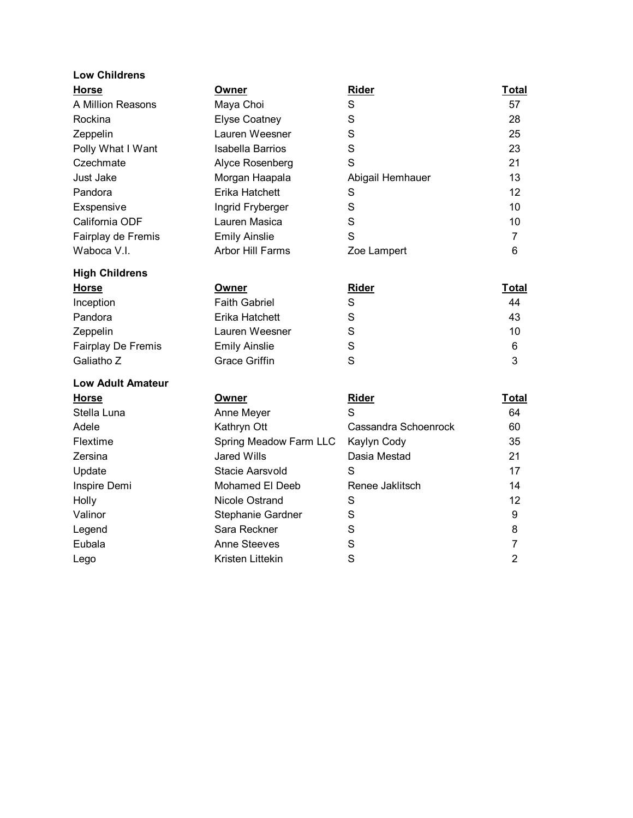| <b>Low Childrens</b> |                         |                  |       |
|----------------------|-------------------------|------------------|-------|
| <b>Horse</b>         | Owner                   | Rider            | Total |
| A Million Reasons    | Maya Choi               | S                | 57    |
| Rockina              | <b>Elyse Coatney</b>    | S                | 28    |
| Zeppelin             | Lauren Weesner          | S                | 25    |
| Polly What I Want    | Isabella Barrios        | S                | 23    |
| Czechmate            | Alyce Rosenberg         | S                | 21    |
| Just Jake            | Morgan Haapala          | Abigail Hemhauer | 13    |
| Pandora              | Erika Hatchett          | S                | 12    |
| Exspensive           | Ingrid Fryberger        | S                | 10    |
| California ODF       | Lauren Masica           | S                | 10    |
| Fairplay de Fremis   | <b>Emily Ainslie</b>    | S                |       |
| Waboca V.I.          | <b>Arbor Hill Farms</b> | Zoe Lampert      | 6     |

| <b>High Childrens</b>     |                      |       |              |
|---------------------------|----------------------|-------|--------------|
| <b>Horse</b>              | Owner                | Rider | <b>Total</b> |
| Inception                 | <b>Faith Gabriel</b> | S     | 44           |
| Pandora                   | Erika Hatchett       | S     | 43           |
| Zeppelin                  | Lauren Weesner       | S     | 10           |
| <b>Fairplay De Fremis</b> | <b>Emily Ainslie</b> | S     | 6            |
| Galiatho Z                | <b>Grace Griffin</b> | S     | 3            |

| <b>Low Adult Amateur</b> |                        |                      |              |
|--------------------------|------------------------|----------------------|--------------|
| <b>Horse</b>             | Owner                  | Rider                | <b>Total</b> |
| Stella Luna              | Anne Meyer             | S                    | 64           |
| Adele                    | Kathryn Ott            | Cassandra Schoenrock | 60           |
| Flextime                 | Spring Meadow Farm LLC | Kaylyn Cody          | 35           |
| Zersina                  | Jared Wills            | Dasia Mestad         | 21           |
| Update                   | Stacie Aarsvold        | S                    | 17           |
| Inspire Demi             | Mohamed El Deeb        | Renee Jaklitsch      | 14           |
| Holly                    | Nicole Ostrand         | S                    | 12           |
| Valinor                  | Stephanie Gardner      | S                    | 9            |
| Legend                   | Sara Reckner           | S                    | 8            |
| Eubala                   | <b>Anne Steeves</b>    | S                    |              |
| Lego                     | Kristen Littekin       | S                    | 2            |